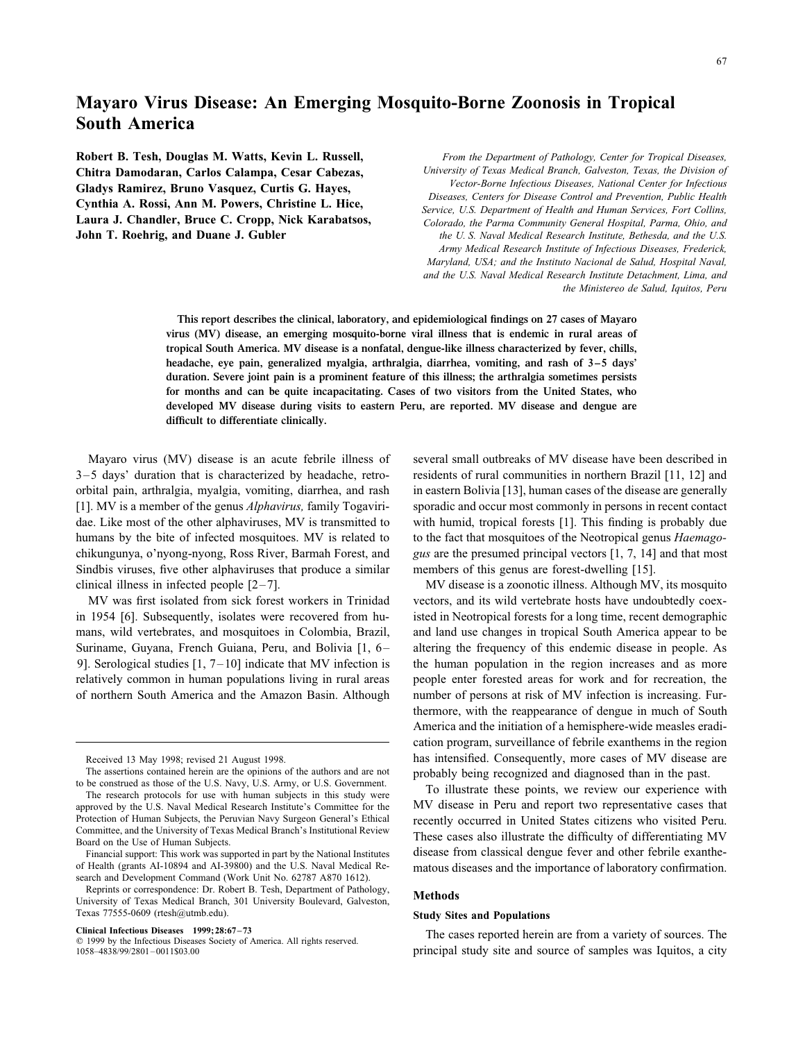# **Mayaro Virus Disease: An Emerging Mosquito-Borne Zoonosis in Tropical South America**

**Robert B. Tesh, Douglas M. Watts, Kevin L. Russell,** *From the Department of Pathology, Center for Tropical Diseases,*

**Chitra Damodaran, Carlos Calampa, Cesar Cabezas,** *University of Texas Medical Branch, Galveston, Texas, the Division of* Gladys Ramirez, Bruno Vasquez, Curtis G. Hayes,<br>Cynthia A. Rossi, Ann M. Powers, Christine L. Hice,<br>Cynthia A. Rossi, Ann M. Powers, Christine L. Hice,<br>Service, U.S. Department of Health and Human Services, Fort Collins, **Laura J. Chandler, Bruce C. Cropp, Nick Karabatsos,** *Colorado, the Parma Community General Hospital, Parma, Ohio, and* **John T. Roehrig, and Duane J. Gubler** *the U.S. Naval Medical Research Institute, Bethesda, and the U.S. Army Medical Research Institute of Infectious Diseases, Frederick, Maryland, USA; and the Instituto Nacional de Salud, Hospital Naval, and the U.S. Naval Medical Research Institute Detachment, Lima, and the Ministereo de Salud, Iquitos, Peru*

> **This report describes the clinical, laboratory, and epidemiological findings on 27 cases of Mayaro virus (MV) disease, an emerging mosquito-borne viral illness that is endemic in rural areas of tropical South America. MV disease is a nonfatal, dengue-like illness characterized by fever, chills, headache, eye pain, generalized myalgia, arthralgia, diarrhea, vomiting, and rash of 3–5 days' duration. Severe joint pain is a prominent feature of this illness; the arthralgia sometimes persists for months and can be quite incapacitating. Cases of two visitors from the United States, who developed MV disease during visits to eastern Peru, are reported. MV disease and dengue are difficult to differentiate clinically.**

humans by the bite of infected mosquitoes. MV is related to to the fact that mosquitoes of the Neotropical genus *Haemago-*Sindbis viruses, five other alphaviruses that produce a similar members of this genus are forest-dwelling [15]. clinical illness in infected people [2–7]. MV disease is a zoonotic illness. Although MV, its mosquito

Mayaro virus (MV) disease is an acute febrile illness of several small outbreaks of MV disease have been described in 3–5 days' duration that is characterized by headache, retro- residents of rural communities in northern Brazil [11, 12] and orbital pain, arthralgia, myalgia, vomiting, diarrhea, and rash in eastern Bolivia [13], human cases of the disease are generally [1]. MV is a member of the genus *Alphavirus,* family Togaviri- sporadic and occur most commonly in persons in recent contact dae. Like most of the other alphaviruses, MV is transmitted to with humid, tropical forests [1]. This finding is probably due chikungunya, o'nyong-nyong, Ross River, Barmah Forest, and *gus* are the presumed principal vectors [1, 7, 14] and that most

MV was first isolated from sick forest workers in Trinidad vectors, and its wild vertebrate hosts have undoubtedly coexin 1954 [6]. Subsequently, isolates were recovered from hu- isted in Neotropical forests for a long time, recent demographic mans, wild vertebrates, and mosquitoes in Colombia, Brazil, and land use changes in tropical South America appear to be Suriname, Guyana, French Guiana, Peru, and Bolivia [1, 6– altering the frequency of this endemic disease in people. As 9]. Serological studies [1, 7-10] indicate that MV infection is the human population in the region increases and as more relatively common in human populations living in rural areas people enter forested areas for work and for recreation, the of northern South America and the Amazon Basin. Although number of persons at risk of MV infection is increasing. Furthermore, with the reappearance of dengue in much of South America and the initiation of a hemisphere-wide measles eradication program, surveillance of febrile exanthems in the region Received 13 May 1998; revised 21 August 1998. has intensified. Consequently, more cases of MV disease are<br>The assertions contained herein are the opinions of the authors and are not probably being recognized and diagnosed

The assertions contained herein are the opinions of the authors and are not<br>to be construed as those of the U.S. Navy, U.S. Army, or U.S. Government.<br>The research protocols for use with human subjects in this study were<br>ap Financial support: This work was supported in part by the National Institutes disease from classical dengue fever and other febrile exanthe-

### **Study Sites and Populations**

Clinical Infectious Diseases 1999;28:67–73<br>
© 1999 by the Infectious Diseases Society of America. All rights reserved.<br>
1058–4838/99/2801–0011\$03.00<br>
principal study site and source of samples was Iquitos, a city principal study site and source of samples was Iquitos, a city

approved by the U.S. Naval Medical Research Institute's Committee for the Protection of Human Subjects, the Peruvian Navy Surgeon General's Ethical recently occurred in United States citizens who visited Peru.<br>Committee, and the University of Texas Medical Branch's Institutional Review These cas

of Health (grants AI-10894 and AI-39800) and the U.S. Naval Medical Re- matous diseases and the importance of laboratory confirmation. search and Development Command (Work Unit No. 62787 A870 1612).

Reprints or correspondence: Dr. Robert B. Tesh, Department of Pathology,<br>
University of Texas Medical Branch, 301 University Boulevard, Galveston,<br> **Study Sites (Inc. 1998)** (Itesh@utmb.edu).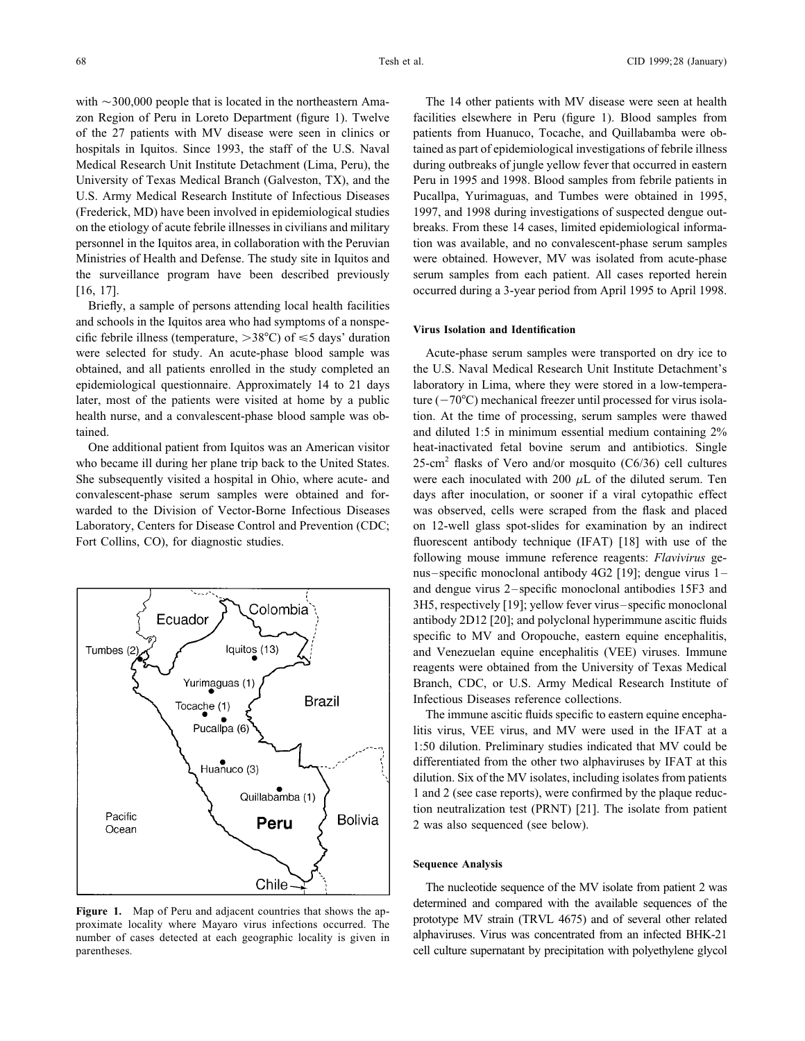zon Region of Peru in Loreto Department (figure 1). Twelve facilities elsewhere in Peru (figure 1). Blood samples from of the 27 patients with MV disease were seen in clinics or patients from Huanuco, Tocache, and Quillabamba were obhospitals in Iquitos. Since 1993, the staff of the U.S. Naval tained as part of epidemiological investigations of febrile illness Medical Research Unit Institute Detachment (Lima, Peru), the during outbreaks of jungle yellow fever that occurred in eastern University of Texas Medical Branch (Galveston, TX), and the Peru in 1995 and 1998. Blood samples from febrile patients in U.S. Army Medical Research Institute of Infectious Diseases Pucallpa, Yurimaguas, and Tumbes were obtained in 1995, (Frederick, MD) have been involved in epidemiological studies 1997, and 1998 during investigations of suspected dengue outon the etiology of acute febrile illnesses in civilians and military breaks. From these 14 cases, limited epidemiological informapersonnel in the Iquitos area, in collaboration with the Peruvian tion was available, and no convalescent-phase serum samples Ministries of Health and Defense. The study site in Iquitos and were obtained. However, MV was isolated from acute-phase the surveillance program have been described previously serum samples from each patient. All cases reported herein [16, 17]. occurred during a 3-year period from April 1995 to April 1998.

Briefly, a sample of persons attending local health facilities and schools in the Iquitos area who had symptoms of a nonspe-<br>cific febrile illness (temperature,  $>38^{\circ}C$ ) of  $\leq 5$  days' duration<br>Virus Isolation and Identification were selected for study. An acute-phase blood sample was Acute-phase serum samples were transported on dry ice to obtained, and all patients enrolled in the study completed an the U.S. Naval Medical Research Unit Institute Detachment's epidemiological questionnaire. Approximately 14 to 21 days laboratory in Lima, where they were stored in a low-temperalater, most of the patients were visited at home by a public ture  $(-70^{\circ}C)$  mechanical freezer until processed for virus isolahealth nurse, and a convalescent-phase blood sample was ob- tion. At the time of processing, serum samples were thawed tained. **and diluted 1:5 in minimum essential medium containing 2%** 

who became ill during her plane trip back to the United States.  $25$ -cm<sup>2</sup> flasks of Vero and/or mosquito (C6/36) cell cultures She subsequently visited a hospital in Ohio, where acute- and were each inoculated with  $200 \mu L$  of the diluted serum. Ten convalescent-phase serum samples were obtained and for- days after inoculation, or sooner if a viral cytopathic effect warded to the Division of Vector-Borne Infectious Diseases was observed, cells were scraped from the flask and placed Laboratory, Centers for Disease Control and Prevention (CDC; on 12-well glass spot-slides for examination by an indirect Fort Collins, CO), for diagnostic studies. fluorescent antibody technique (IFAT) [18] with use of the



number of cases detected at each geographic locality is given in parentheses. cell culture supernatant by precipitation with polyethylene glycol

with  $\sim$ 300,000 people that is located in the northeastern Ama- The 14 other patients with MV disease were seen at health

One additional patient from Iquitos was an American visitor heat-inactivated fetal bovine serum and antibiotics. Single following mouse immune reference reagents: *Flavivirus* genus–specific monoclonal antibody 4G2 [19]; dengue virus 1– and dengue virus 2–specific monoclonal antibodies 15F3 and 3H5, respectively [19]; yellow fever virus–specific monoclonal antibody 2D12 [20]; and polyclonal hyperimmune ascitic fluids specific to MV and Oropouche, eastern equine encephalitis, and Venezuelan equine encephalitis (VEE) viruses. Immune reagents were obtained from the University of Texas Medical Branch, CDC, or U.S. Army Medical Research Institute of Infectious Diseases reference collections.

> The immune ascitic fluids specific to eastern equine encephalitis virus, VEE virus, and MV were used in the IFAT at a 1:50 dilution. Preliminary studies indicated that MV could be differentiated from the other two alphaviruses by IFAT at this dilution. Six of the MV isolates, including isolates from patients 1 and 2 (see case reports), were confirmed by the plaque reduction neutralization test (PRNT) [21]. The isolate from patient 2 was also sequenced (see below).

### **Sequence Analysis**

The nucleotide sequence of the MV isolate from patient 2 was Figure 1. Map of Peru and adjacent countries that shows the ap-<br>proximate locality where Mayaro virus infections occurred. The<br>number of cases detected at each geographic locality is given in<br>alphaviruses. Virus was concen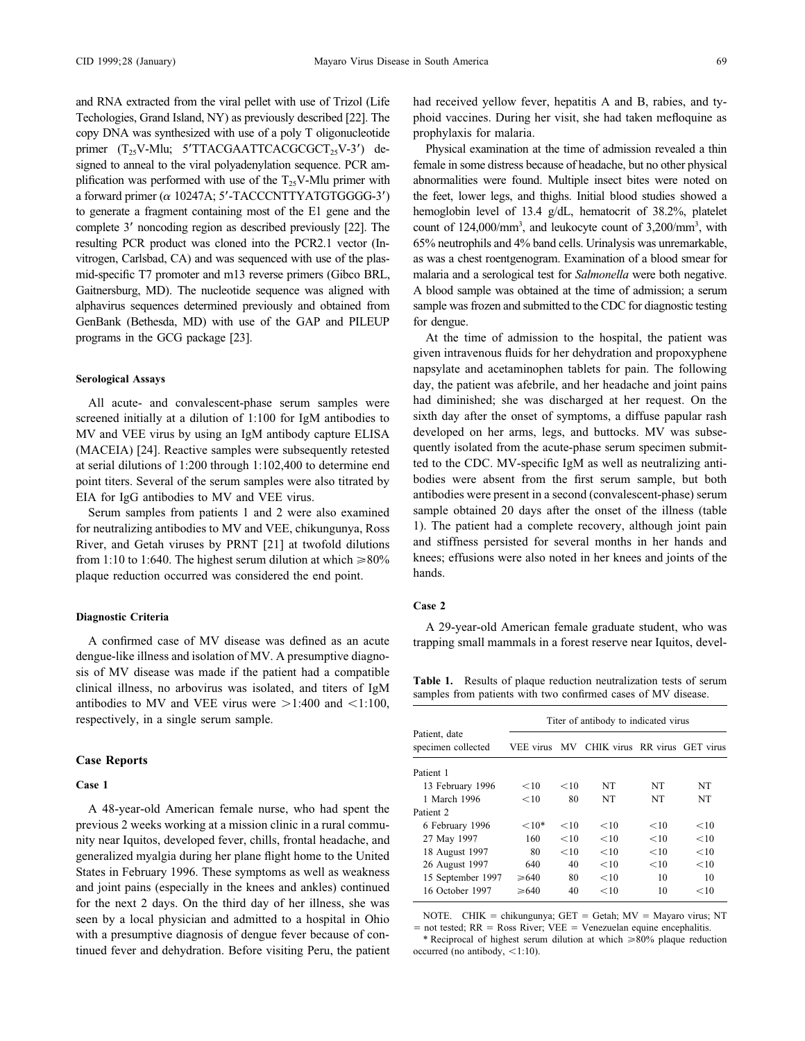and RNA extracted from the viral pellet with use of Trizol (Life had received yellow fever, hepatitis A and B, rabies, and ty-Techologies, Grand Island, NY) as previously described [22]. The phoid vaccines. During her visit, she had taken mefloquine as copy DNA was synthesized with use of a poly T oligonucleotide prophylaxis for malaria. primer  $(T_2, V\text{-}Mlu; 5'TTACGAATTCACGCGCT_2,V-3')$  de- Physical examination at the time of admission revealed a thin signed to anneal to the viral polyadenylation sequence. PCR am- female in some distress because of headache, but no other physical plification was performed with use of the  $T_{25}V$ -Mlu primer with abnormalities were found. Multiple insect bites were noted on a forward primer ( $\alpha$  10247A; 5'-TACCCNTTYATGTGGGG-3') the feet, lower legs, and thighs. Initial blood studies showed a to generate a fragment containing most of the E1 gene and the hemoglobin level of 13.4 g/dL, hematocrit of 38.2%, platelet complete 3 $\prime$  noncoding region as described previously [22]. The resulting PCR product was cloned into the PCR2.1 vector (In- 65% neutrophils and 4% band cells. Urinalysis was unremarkable, vitrogen, Carlsbad, CA) and was sequenced with use of the plas- as was a chest roentgenogram. Examination of a blood smear for mid-specific T7 promoter and m13 reverse primers (Gibco BRL, malaria and a serological test for *Salmonella* were both negative. Gaitnersburg, MD). The nucleotide sequence was aligned with A blood sample was obtained at the time of admission; a serum alphavirus sequences determined previously and obtained from sample was frozen and submitted to the CDC for diagnostic testing GenBank (Bethesda, MD) with use of the GAP and PILEUP for dengue. programs in the GCG package [23]. At the time of admission to the hospital, the patient was

(MACEIA) [24]. Reactive samples were subsequently retested

for neutralizing antibodies to MV and VEE, chikungunya, Ross 1). The patient had a complete recovery, although joint pain River, and Getah viruses by PRNT [21] at twofold dilutions and stiffness persisted for several months in her hands and from 1:10 to 1:640. The highest serum dilution at which  $\geq 80\%$  knees; effusions were also noted in her knees and joints of the plaque reduction occurred was considered the end point. hands.

dengue-like illness and isolation of MV. A presumptive diagnosis of MV disease was made if the patient had a compatible<br>clinical illness, no arbovirus was isolated, and titers of IgM<br>antibodies to MV and VEE virus were  $>1:400$  and  $<1:100$ ,<br>and  $< 1:100$ , respectively, in a single serum sample.

### **Case Reports**

A 48-year-old American female nurse, who had spent the previous 2 weeks working at a mission clinic in a rural community near Iquitos, developed fever, chills, frontal headache, and generalized myalgia during her plane flight home to the United<br>States in February 1996. These symptoms as well as weakness and joint pains (especially in the knees and ankles) continued for the next 2 days. On the third day of her illness, she was seen by a local physician and admitted to a hospital in Ohio<br>with a presumptive diagnosis of dengue fever because of con-<br>with a presumptive diagnosis of dengue fever because of con-<br>Reciprocal of highest serum dilution a tinued fever and dehydration. Before visiting Peru, the patient occurred (no antibody,  $\lt 1:10$ ).

, and leukocyte count of 3,200/mm<sup>3</sup>, with

given intravenous fluids for her dehydration and propoxyphene napsylate and acetaminophen tablets for pain. The following day, the patient was afebrile, and her headache and joint pains All acute- and convalescent-phase serum samples were had diminished; she was discharged at her request. On the screened initially at a dilution of 1:100 for IgM antibodies to sixth day after the onset of symptoms, a diffuse papular rash MV and VEE virus by using an IgM antibody capture ELISA developed on her arms, legs, and buttock MV and VEE virus by using an IgM antibody capture ELISA developed on her arms, legs, and buttocks. MV was subse-<br>MACEIA) [24] Reactive samples were subsequently retested quently isolated from the acute-phase serum specimen at serial dilutions of 1:200 through 1:102,400 to determine end ted to the CDC. MV-specific IgM as well as neutralizing antipoint titers. Several of the serum samples were also titrated by bodies were absent from the first serum sample, but both EIA for IgG antibodies to MV and VEE virus. antibodies were present in a second (convalescent-phase) serum Serum samples from patients 1 and 2 were also examined sample obtained 20 days after the onset of the illness (table

## **Case 2**

**Diagnostic Criteria A 29-year-old American female graduate student, who was** A 29-year-old American female graduate student, who was A confirmed case of MV disease was defined as an acute trapping small mammals in a forest reserve near Iquitos, devel-

| allificules to be alleaded views well $>$ 1.400 alle $\sim$ 1.100. |                                     |                                      |        |                                  |           |     |
|--------------------------------------------------------------------|-------------------------------------|--------------------------------------|--------|----------------------------------|-----------|-----|
| respectively, in a single serum sample.                            |                                     | Titer of antibody to indicated virus |        |                                  |           |     |
|                                                                    | Patient, date<br>specimen collected | VEE virus                            |        | MV CHIK virus RR virus GET virus |           |     |
| <b>Case Reports</b>                                                |                                     |                                      |        |                                  |           |     |
|                                                                    | Patient 1                           |                                      |        |                                  |           |     |
| Case 1                                                             | 13 February 1996                    | $<$ 10                               | <10    | NT                               | <b>NT</b> | NT  |
|                                                                    | 1 March 1996                        | $<$ 10                               | 80     | NT                               | NT        | NT  |
| A 48-year-old American female nurse, who had spent the             | Patient <sub>2</sub>                |                                      |        |                                  |           |     |
| previous 2 weeks working at a mission clinic in a rural commu-     | 6 February 1996                     | ${<}10*$                             | <10    | <10                              | $<$ 10    | <10 |
| nity near Iquitos, developed fever, chills, frontal headache, and  | 27 May 1997                         | 160                                  | $<$ 10 | <10                              | $<$ 10    | <10 |
| generalized myalgia during her plane flight home to the United     | 18 August 1997                      | 80                                   | $<$ 10 | <10                              | <10       | <10 |
|                                                                    | 26 August 1997                      | 640                                  | 40     | <10                              | $<$ 10    | <10 |
| States in February 1996. These symptoms as well as weakness        | 15 September 1997                   | $\geq 640$                           | 80     | $<$ 10                           | 10        | 10  |
| and joint pains (especially in the knees and ankles) continued     | 16 October 1997                     | $\geq 640$                           | 40     | <10                              | 10        | <10 |
| for the next 2 days. On the third day of her illness, she west     |                                     |                                      |        |                                  |           |     |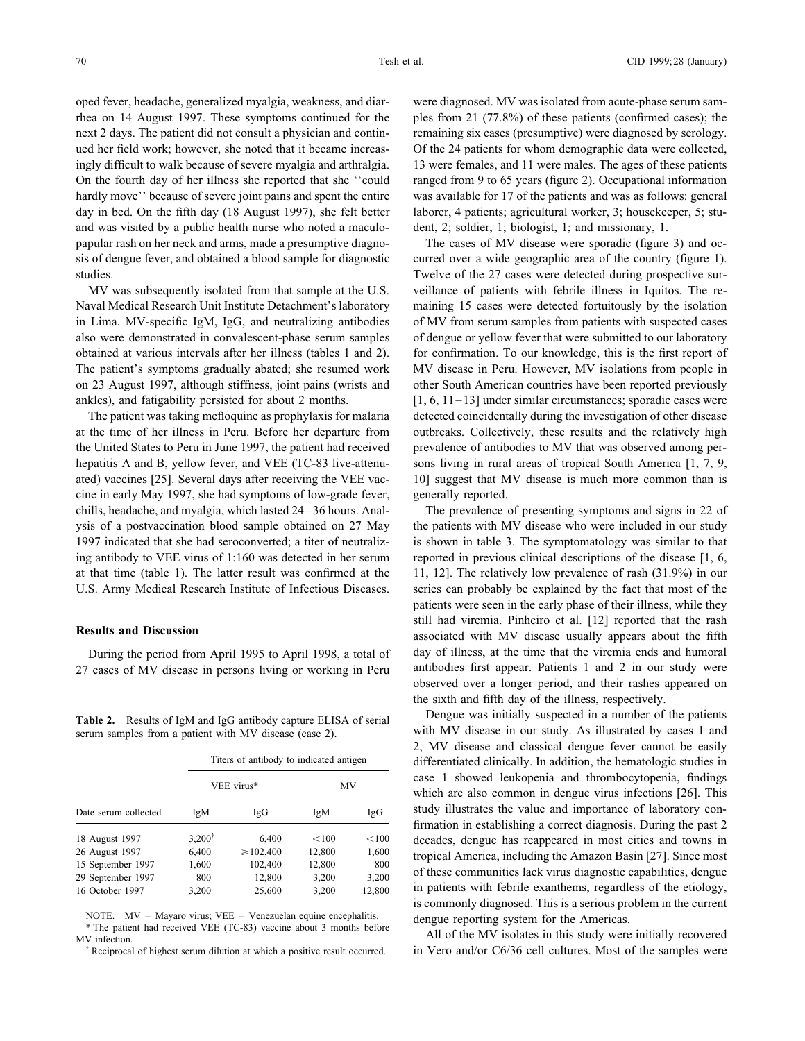rhea on 14 August 1997. These symptoms continued for the ples from 21 (77.8%) of these patients (confirmed cases); the next 2 days. The patient did not consult a physician and contin- remaining six cases (presumptive) were diagnosed by serology. ued her field work; however, she noted that it became increas- Of the 24 patients for whom demographic data were collected, ingly difficult to walk because of severe myalgia and arthralgia. 13 were females, and 11 were males. The ages of these patients On the fourth day of her illness she reported that she ''could ranged from 9 to 65 years (figure 2). Occupational information hardly move'' because of severe joint pains and spent the entire was available for 17 of the patients and was as follows: general day in bed. On the fifth day (18 August 1997), she felt better laborer, 4 patients; agricultural worker, 3; housekeeper, 5; stuand was visited by a public health nurse who noted a maculo- dent, 2; soldier, 1; biologist, 1; and missionary, 1. papular rash on her neck and arms, made a presumptive diagno- The cases of MV disease were sporadic (figure 3) and ocsis of dengue fever, and obtained a blood sample for diagnostic curred over a wide geographic area of the country (figure 1). studies. Twelve of the 27 cases were detected during prospective sur-

Naval Medical Research Unit Institute Detachment's laboratory maining 15 cases were detected fortuitously by the isolation in Lima. MV-specific IgM, IgG, and neutralizing antibodies of MV from serum samples from patients with suspected cases also were demonstrated in convalescent-phase serum samples of dengue or yellow fever that were submitted to our laboratory obtained at various intervals after her illness (tables 1 and 2). for confirmation. To our knowledge, this is the first report of The patient's symptoms gradually abated; she resumed work MV disease in Peru. However, MV isolations from people in on 23 August 1997, although stiffness, joint pains (wrists and other South American countries have been reported previously ankles), and fatigability persisted for about 2 months.  $[1, 6, 11-13]$  under similar circumstances; sporadic cases were

at the time of her illness in Peru. Before her departure from outbreaks. Collectively, these results and the relatively high the United States to Peru in June 1997, the patient had received prevalence of antibodies to MV that was observed among perhepatitis A and B, yellow fever, and VEE (TC-83 live-attenu- sons living in rural areas of tropical South America [1, 7, 9, ated) vaccines [25]. Several days after receiving the VEE vac- 10] suggest that MV disease is much more common than is cine in early May 1997, she had symptoms of low-grade fever, generally reported. ysis of a postvaccination blood sample obtained on 27 May the patients with MV disease who were included in our study

27 cases of MV disease in persons living or working in Peru

serum samples from a patient with MV disease (case 2). with MV disease in our study. As illustrated by cases 1 and

| Date serum collected                 |                   | Titers of antibody to indicated antigen |                |                 |  |  |  |  |
|--------------------------------------|-------------------|-----------------------------------------|----------------|-----------------|--|--|--|--|
|                                      |                   | VEE virus*                              | MV             |                 |  |  |  |  |
|                                      | IgM               | IgG                                     | IgM            | IgG             |  |  |  |  |
| 18 August 1997                       | $3,200^{\dagger}$ | 6,400                                   | ${}_{<100}$    | < 100           |  |  |  |  |
| 26 August 1997                       | 6,400             | $\geq 102,400$                          | 12,800         | 1,600           |  |  |  |  |
| 15 September 1997                    | 1,600             | 102,400                                 | 12,800         | 800             |  |  |  |  |
| 29 September 1997<br>16 October 1997 | 800<br>3,200      | 12,800<br>25,600                        | 3,200<br>3,200 | 3,200<br>12,800 |  |  |  |  |

oped fever, headache, generalized myalgia, weakness, and diar- were diagnosed. MV was isolated from acute-phase serum sam-

MV was subsequently isolated from that sample at the U.S. veillance of patients with febrile illness in Iquitos. The re-The patient was taking mefloquine as prophylaxis for malaria detected coincidentally during the investigation of other disease

chills, headache, and myalgia, which lasted 24–36 hours. Anal- The prevalence of presenting symptoms and signs in 22 of 1997 indicated that she had seroconverted; a titer of neutraliz- is shown in table 3. The symptomatology was similar to that ing antibody to VEE virus of 1:160 was detected in her serum reported in previous clinical descriptions of the disease [1, 6, at that time (table 1). The latter result was confirmed at the  $11, 12$ ]. The relatively low prevalence of rash (31.9%) in our U.S. Army Medical Research Institute of Infectious Diseases. series can probably be explained by the fact that most of the patients were seen in the early phase of their illness, while they **Results and Discussion Results and Discussion Results and Discussion associated with MV** disease usually appears about the fifth During the period from April 1995 to April 1998, a total of day of illness, at the time that the viremia ends and humoral cases of MV disease in persons living or working in Peru antibodies first appear. Patients 1 and 2 i observed over a longer period, and their rashes appeared on the sixth and fifth day of the illness, respectively.

Dengue was initially suspected in a number of the patients **Table 2.** Results of IgM and IgG antibody capture ELISA of serial 2, MV disease and classical dengue fever cannot be easily differentiated clinically. In addition, the hematologic studies in case 1 showed leukopenia and thrombocytopenia, findings which are also common in dengue virus infections [26]. This study illustrates the value and importance of laboratory confirmation in establishing a correct diagnosis. During the past 2 decades, dengue has reappeared in most cities and towns in tropical America, including the Amazon Basin [27]. Since most<br>of these communities lack virus diagnostic capabilities, dengue in patients with febrile exanthems, regardless of the etiology, is commonly diagnosed. This is a serious problem in the current NOTE. MV = Mayaro virus; VEE = Venezuelan equine encephalitis. dengue reporting system for the Americas. \* The patient had received VEE (TC-83) vaccine about 3 months before

MV infection.<br>MV infection. <sup>†</sup> Reciprocal of highest serum dilution at which a positive result occurred. in Vero and/or C6/36 cell cultures. Most of the samples were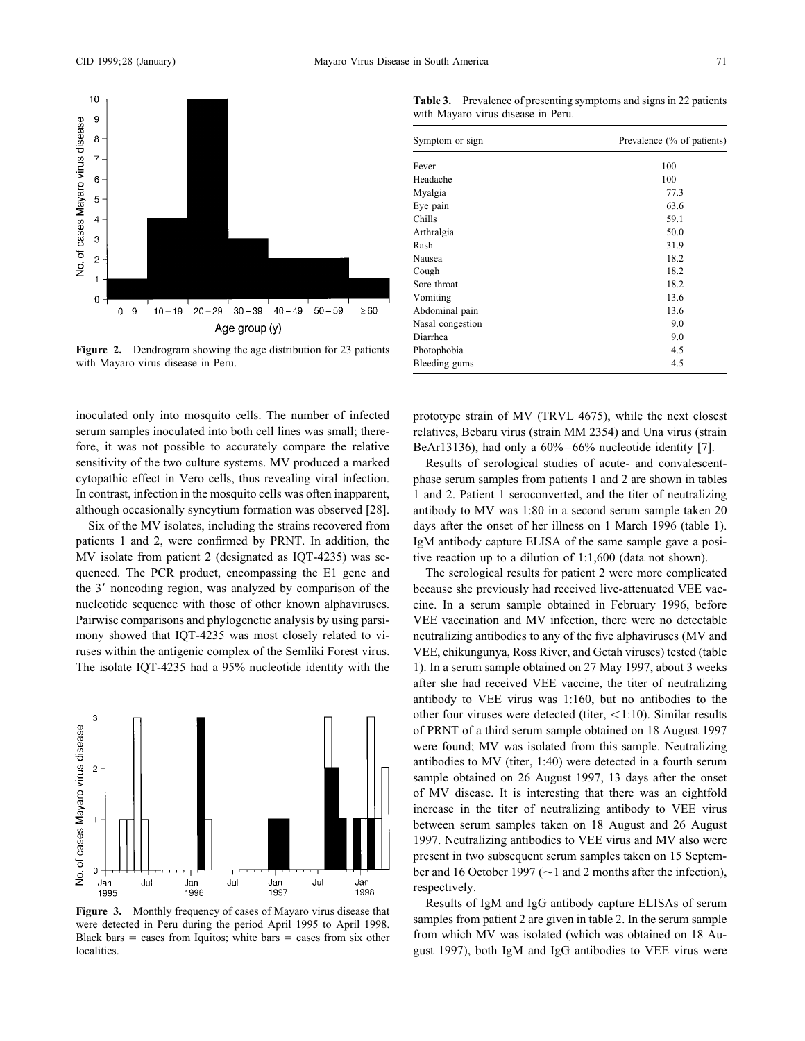

**Figure 2.** Dendrogram showing the age distribution for 23 patients with Mayaro virus disease in Peru.

inoculated only into mosquito cells. The number of infected prototype strain of MV (TRVL 4675), while the next closest serum samples inoculated into both cell lines was small; there- relatives, Bebaru virus (strain MM 2354) and Una virus (strain fore, it was not possible to accurately compare the relative BeAr13136), had only a 60%–66% nucleotide identity [7]. sensitivity of the two culture systems. MV produced a marked Results of serological studies of acute- and convalescentcytopathic effect in Vero cells, thus revealing viral infection. phase serum samples from patients 1 and 2 are shown in tables In contrast, infection in the mosquito cells was often inapparent, and 2. Patient 1 seroconverted, and the titer of neutralizing although occasionally syncytium formation was observed [28]. antibody to MV was 1:80 in a second serum sample taken 20

patients 1 and 2, were confirmed by PRNT. In addition, the IgM antibody capture ELISA of the same sample gave a posi-MV isolate from patient 2 (designated as IQT-4235) was se-<br>tive reaction up to a dilution of 1:1,600 (data not shown). quenced. The PCR product, encompassing the E1 gene and The serological results for patient 2 were more complicated the 3\* noncoding region, was analyzed by comparison of the because she previously had received live-attenuated VEE vacnucleotide sequence with those of other known alphaviruses. cine. In a serum sample obtained in February 1996, before Pairwise comparisons and phylogenetic analysis by using parsi- VEE vaccination and MV infection, there were no detectable mony showed that IQT-4235 was most closely related to vi- neutralizing antibodies to any of the five alphaviruses (MV and ruses within the antigenic complex of the Semliki Forest virus. VEE, chikungunya, Ross River, and Getah viruses) tested (table The isolate IQT-4235 had a 95% nucleotide identity with the 1). In a serum sample obtained on 27 May 1997, about 3 weeks



Black bars  $=$  cases from Iquitos; white bars  $=$  cases from six other localities. Gust 1997), localities and IgG antibodies to VEE virus were

**Table 3.** Prevalence of presenting symptoms and signs in 22 patients with Mayaro virus disease in Peru.

| Symptom or sign  | Prevalence (% of patients) |  |  |  |
|------------------|----------------------------|--|--|--|
| Fever            | 100                        |  |  |  |
| Headache         | 100                        |  |  |  |
| Myalgia          | 77.3                       |  |  |  |
| Eye pain         | 63.6                       |  |  |  |
| Chills           | 59.1                       |  |  |  |
| Arthralgia       | 50.0                       |  |  |  |
| Rash             | 31.9                       |  |  |  |
| Nausea           | 18.2                       |  |  |  |
| Cough            | 18.2                       |  |  |  |
| Sore throat      | 18.2                       |  |  |  |
| Vomiting         | 13.6                       |  |  |  |
| Abdominal pain   | 13.6                       |  |  |  |
| Nasal congestion | 9.0                        |  |  |  |
| Diarrhea         | 9.0                        |  |  |  |
| Photophobia      | 4.5                        |  |  |  |
| Bleeding gums    | 4.5                        |  |  |  |

Six of the MV isolates, including the strains recovered from days after the onset of her illness on 1 March 1996 (table 1).

after she had received VEE vaccine, the titer of neutralizing antibody to VEE virus was 1:160, but no antibodies to the other four viruses were detected (titer,  $\langle 1:10 \rangle$ ). Similar results of PRNT of a third serum sample obtained on 18 August 1997 were found; MV was isolated from this sample. Neutralizing antibodies to MV (titer, 1:40) were detected in a fourth serum sample obtained on 26 August 1997, 13 days after the onset of MV disease. It is interesting that there was an eightfold increase in the titer of neutralizing antibody to VEE virus between serum samples taken on 18 August and 26 August 1997. Neutralizing antibodies to VEE virus and MV also were present in two subsequent serum samples taken on 15 September and 16 October 1997 ( $\sim$  1 and 2 months after the infection), respectively.

**Figure 3.** Monthly frequency of cases of Mayaro virus disease that<br>were detected in Peru during the period April 1995 to April 1998.<br>Rlack hars = cases from Jouitos: white hars = cases from six other from which MV was iso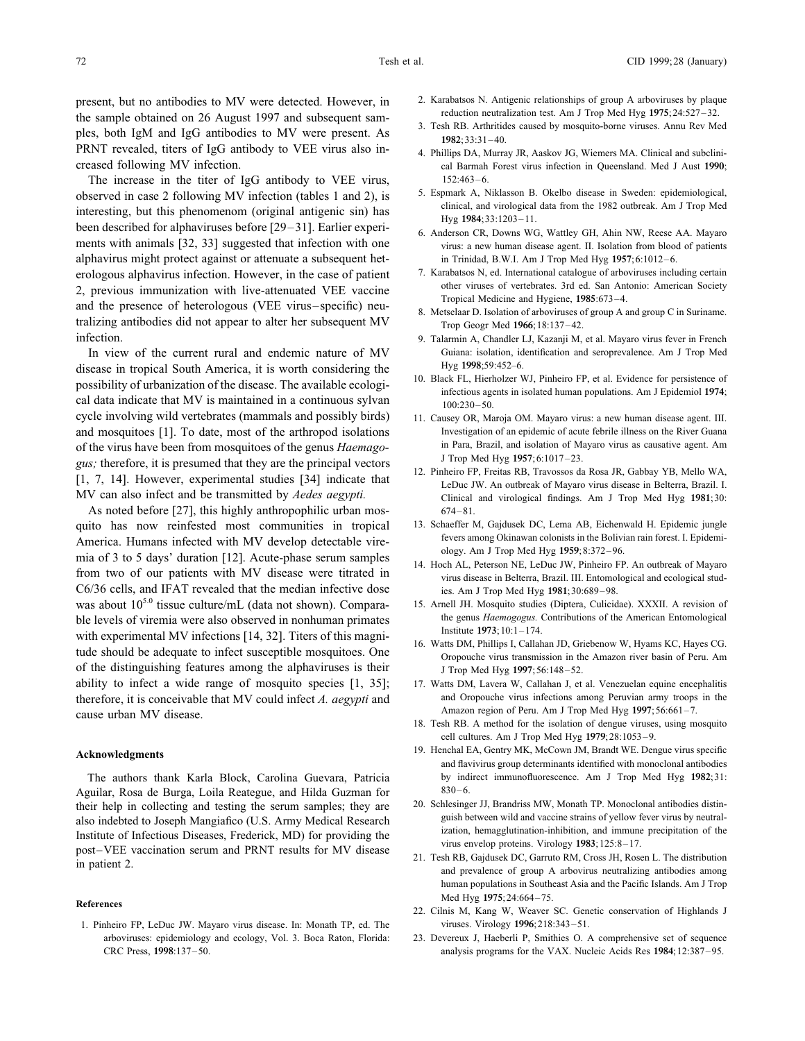present, but no antibodies to MV were detected. However, in 2. Karabatsos N. Antigenic relationships of group A arboviruses by plaque<br>the sample obtained on 26 August 1997 and subsequent samples reduction neutralization te the sample obtained on 26 August 1997 and subsequent sam-<br>ples, both IgM and IgG antibodies to MV were present. As<br>PRNT revealed, titers of IgG antibody to VEE virus also in-<br> $\frac{1982;33:31-40}{4}$ . PRNT revealed, titers of IgG antibody to VEE virus also in-<br>creased following MV infection. cal Barmah Forest virus infection in Queensland. Med J Aust 1990;

The increase in the titer of IgG antibody to VEE virus,<br>served in case 2 following MV infection (tables 1 and 2) is 5. Espmark A, Niklasson B. Okelbo disease in Sweden: epidemiological, observed in case 2 following MV infection (tables 1 and 2), is<br>interesting, but this phenomenom (original antigenic sin) has<br>been described for alphaviruses before [29–31]. Earlier experi-<br>6. Anderson CR, Downs WG, Wattley ments with animals [32, 33] suggested that infection with one virus: a new human disease agent. II. Isolation from blood of patients alphavirus might protect against or attenuate a subsequent het- in Trinidad, B.W.I. Am J Trop Med Hyg **1957**;6:1012–6. erologous alphavirus infection. However, in the case of patient 7. Karabatsos N, ed. International catalogue of arboviruses including certain 2. numerican erologous incurrent at the extreme of MTF reportion. 2, previous immunization with live-attenuated VEE vaccine<br>and the presence of heterologous (VEE virus-specific) neu-<br>8. Metselaar D. Isolation of arboviruses of group A and group C in Suriname. tralizing antibodies did not appear to alter her subsequent MV Trop Geogr Med 1966;18:137-42. infection. 9. Talarmin A, Chandler LJ, Kazanji M, et al. Mayaro virus fever in French

disease in tropical South America, it is worth considering the<br>possibility of urbanization of the disease. The available ecologi-<br>cal data indicate that MV is maintained in a continuous sylvan<br>cycle involving wild vertebra gus; therefore, it is presumed that they are the principal vectors<br>
[1, 7, 14]. However, experimental studies [34] indicate that<br>
MV can also infect and be transmitted by *Aedes aegypti*.<br>
MV can also infect and be transmi

As noted before [27], this highly anthropophilic urban mos- 674–81. quito has now reinfested most communities in tropical 13. Schaeffer M, Gajdusek DC, Lema AB, Eichenwald H. Epidemic jungle<br>A morica Humana infocted with MV dovelop detectable vira fevers among Okinawan colonists in the Bol America. Humans infected with MV develop detectable vire-<br>mia of 3 to 5 days' duration [12]. Acute-phase serum samples<br>from two of our patients with MV disease were titrated in<br>from two of our patients with MV disease were C6/36 cells, and IFAT revealed that the median infective dose ies. Am J Trop Med Hyg **1981**;30:689–98. was about  $10^{5.0}$  tissue culture/mL (data not shown). Compara-<br>15. Arnell JH. Mosquito studies (Diptera, Culicidae). XXXII. A revision of the genus *Haemogogus*. Contributions of the American Entomological ble levels of viremia were also observed in nonhuman primates the genus *Haemogogus*. Contributions of the American Entomological unit also provide the am with experimental MV infections [14, 32]. Titers of this magni-<br>tude should be adequate to infect susceptible mosquitoes. One<br>oropouche virus transmission in the Amazon river basin of Peru. Am of the distinguishing features among the alphaviruses is their J Trop Med Hyg **1997**;56:148–52. ability to infect a wide range of mosquito species [1, 35]; 17. Watts DM, Lavera W, Callahan J, et al. Venezuelan equine encephalitis therefore, it is conceivable that MV could infect *A. aegypti* and and Oropouche virus infections among Peruvian army troops in the Amazon region of Peru. Am J Trop Med Hyg **<sup>1997</sup>**;56:661–7. cause urban MV disease.

Aguilar, Rosa de Burga, Loila Reategue, and Hilda Guzman for 830–6.<br>
their help in collecting and testing the serum samples: they are 20. Schlesinger JJ, Brandriss MW, Monath TP. Monoclonal antibodies distin-20. Schlesinger JJ, Brandriss MW, Monath TP. Monoclonal antibodies distin-<br>20. Schlesinger JJ, Brandriss MW, Monath TP. Monoclonal antibodies distin-<br>20. Schlesinger JJ, Brandriss MW, Monath TP. Monoclonal antibodies disti also indebted to Joseph Mangiafico (U.S. Army Medical Research<br>
Institute of Infectious Diseases, Frederick, MD) for providing the<br>
post–VEE vaccination serum and PRNT results for MV disease<br>
in patient 2.<br>
and prevalence

1. Pinheiro FP, LeDuc JW. Mayaro virus disease. In: Monath TP, ed. The viruses. Virology **1996**;218:343–51. arboviruses: epidemiology and ecology, Vol. 3. Boca Raton, Florida: 23. Devereux J, Haeberli P, Smithies O. A comprehensive set of sequence

- 
- 
- cal Barmah Forest virus infection in Queensland. Med J Aust 1990;
- 
- 
- 
- 
- In view of the current rural and endemic nature of MV Guiana: isolation, identification and seroprevalence. Am J Trop Med<br>
Hyg 1998:59:452–6.
	-
- 11. Causey OR, Maroja OM. Mayaro virus: a new human disease agent. III. and mosquitoes [1]. To date, most of the arthropod isolations Investigation of an epidemic of acute febrile illness on the River Guana of the virus have been from mosquitoes of the genus *Haemago*-<br>
I Trop Med Hyg 1957;6:1017-23.
	- Clinical and virological findings. Am J Trop Med Hyg 1981;30:
	-
	-
	-
	-
	-
	- 18. Tesh RB. A method for the isolation of dengue viruses, using mosquito cell cultures. Am J Trop Med Hyg **1979**;28:1053–9.
- 19. Henchal EA, Gentry MK, McCown JM, Brandt WE. Dengue virus specific<br>and flavivirus group determinants identified with monoclonal antibodies The authors thank Karla Block, Carolina Guevara, Patricia by indirect immunofluorescence. Am J Trop Med Hyg **1982**;31:
	-
- human populations in Southeast Asia and the Pacific Islands. Am J Trop Med Hyg 1975;24:664–75.<br>
Med Hyg 1975;24:664–75.<br>
22. Cilnis M, Kang W, Weaver SC. Genetic conservation of Highlands J
	-
	- CRC Press, **1998**:137–50. analysis programs for the VAX. Nucleic Acids Res **1984**;12:387–95.